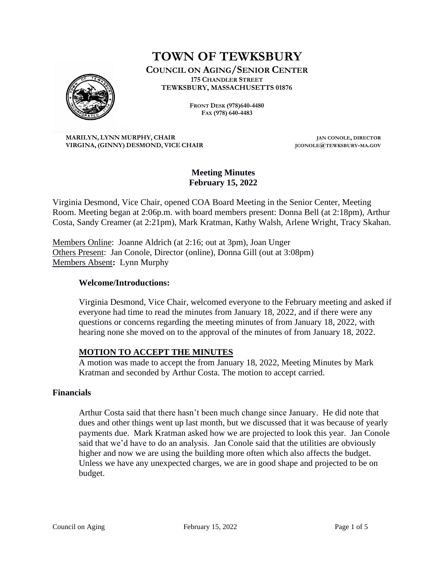# **TOWN OF TEWKSBURY**

**COUNCIL ON AGING/SENIOR CENTER 175 CHANDLER STREET TEWKSBURY, MASSACHUSETTS 01876**



**FRONT DESK (978)640-4480 FAX (978) 640-4483**

**MARILYN, LYNN MURPHY, CHAIR JAN CONOLE, DIRECTOR VIRGINA, (GINNY) DESMOND, VICE CHAIR JCONOLE@TEWKSBURY-MA.GOV**

# **Meeting Minutes February 15, 2022**

Virginia Desmond, Vice Chair, opened COA Board Meeting in the Senior Center, Meeting Room. Meeting began at 2:06p.m. with board members present: Donna Bell (at 2:18pm), Arthur Costa, Sandy Creamer (at 2:21pm), Mark Kratman, Kathy Walsh, Arlene Wright, Tracy Skahan.

Members Online: Joanne Aldrich (at 2:16; out at 3pm), Joan Unger Others Present: Jan Conole, Director (online), Donna Gill (out at 3:08pm) Members Absent**:** Lynn Murphy

## **Welcome/Introductions:**

Virginia Desmond, Vice Chair, welcomed everyone to the February meeting and asked if everyone had time to read the minutes from January 18, 2022, and if there were any questions or concerns regarding the meeting minutes of from January 18, 2022, with hearing none she moved on to the approval of the minutes of from January 18, 2022.

#### **MOTION TO ACCEPT THE MINUTES**

A motion was made to accept the from January 18, 2022, Meeting Minutes by Mark Kratman and seconded by Arthur Costa. The motion to accept carried.

#### **Financials**

Arthur Costa said that there hasn't been much change since January. He did note that dues and other things went up last month, but we discussed that it was because of yearly payments due. Mark Kratman asked how we are projected to look this year. Jan Conole said that we'd have to do an analysis. Jan Conole said that the utilities are obviously higher and now we are using the building more often which also affects the budget. Unless we have any unexpected charges, we are in good shape and projected to be on budget.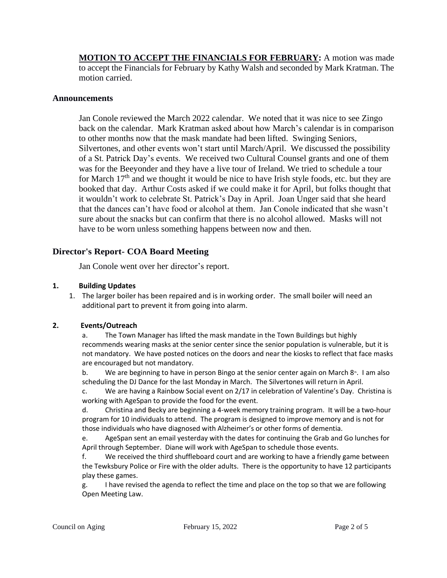**MOTION TO ACCEPT THE FINANCIALS FOR FEBRUARY:** A motion was made to accept the Financials for February by Kathy Walsh and seconded by Mark Kratman. The motion carried.

#### **Announcements**

Jan Conole reviewed the March 2022 calendar. We noted that it was nice to see Zingo back on the calendar. Mark Kratman asked about how March's calendar is in comparison to other months now that the mask mandate had been lifted. Swinging Seniors, Silvertones, and other events won't start until March/April. We discussed the possibility of a St. Patrick Day's events. We received two Cultural Counsel grants and one of them was for the Beeyonder and they have a live tour of Ireland. We tried to schedule a tour for March  $17<sup>th</sup>$  and we thought it would be nice to have Irish style foods, etc. but they are booked that day. Arthur Costs asked if we could make it for April, but folks thought that it wouldn't work to celebrate St. Patrick's Day in April. Joan Unger said that she heard that the dances can't have food or alcohol at them. Jan Conole indicated that she wasn't sure about the snacks but can confirm that there is no alcohol allowed. Masks will not have to be worn unless something happens between now and then.

#### **Director's Report- COA Board Meeting**

Jan Conole went over her director's report.

#### **1. Building Updates**

1. The larger boiler has been repaired and is in working order. The small boiler will need an additional part to prevent it from going into alarm.

#### **2. Events/Outreach**

a. The Town Manager has lifted the mask mandate in the Town Buildings but highly recommends wearing masks at the senior center since the senior population is vulnerable, but it is not mandatory. We have posted notices on the doors and near the kiosks to reflect that face masks are encouraged but not mandatory.

b. We are beginning to have in person Bingo at the senior center again on March 8<sup>th</sup>. I am also scheduling the DJ Dance for the last Monday in March. The Silvertones will return in April.

c. We are having a Rainbow Social event on 2/17 in celebration of Valentine's Day. Christina is working with AgeSpan to provide the food for the event.

d. Christina and Becky are beginning a 4-week memory training program. It will be a two-hour program for 10 individuals to attend. The program is designed to improve memory and is not for those individuals who have diagnosed with Alzheimer's or other forms of dementia.

e. AgeSpan sent an email yesterday with the dates for continuing the Grab and Go lunches for April through September. Diane will work with AgeSpan to schedule those events.

f. We received the third shuffleboard court and are working to have a friendly game between the Tewksbury Police or Fire with the older adults. There is the opportunity to have 12 participants play these games.

g. I have revised the agenda to reflect the time and place on the top so that we are following Open Meeting Law.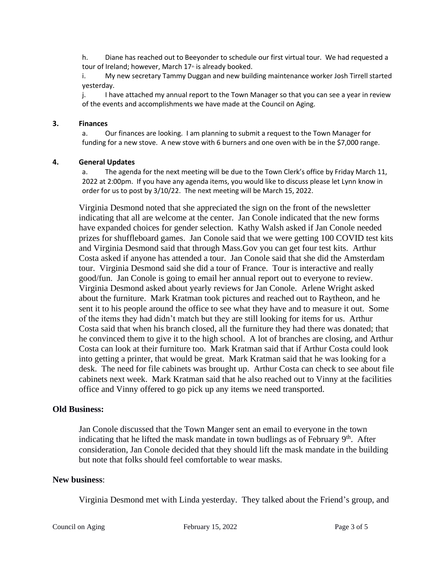h. Diane has reached out to Beeyonder to schedule our first virtual tour. We had requested a tour of Ireland; however, March 17<sup>th</sup> is already booked.

i. My new secretary Tammy Duggan and new building maintenance worker Josh Tirrell started yesterday.

j. I have attached my annual report to the Town Manager so that you can see a year in review of the events and accomplishments we have made at the Council on Aging.

#### **3. Finances**

a. Our finances are looking. I am planning to submit a request to the Town Manager for funding for a new stove. A new stove with 6 burners and one oven with be in the \$7,000 range.

#### **4. General Updates**

a. The agenda for the next meeting will be due to the Town Clerk's office by Friday March 11, 2022 at 2:00pm. If you have any agenda items, you would like to discuss please let Lynn know in order for us to post by 3/10/22. The next meeting will be March 15, 2022.

Virginia Desmond noted that she appreciated the sign on the front of the newsletter indicating that all are welcome at the center. Jan Conole indicated that the new forms have expanded choices for gender selection. Kathy Walsh asked if Jan Conole needed prizes for shuffleboard games. Jan Conole said that we were getting 100 COVID test kits and Virginia Desmond said that through Mass.Gov you can get four test kits. Arthur Costa asked if anyone has attended a tour. Jan Conole said that she did the Amsterdam tour. Virginia Desmond said she did a tour of France. Tour is interactive and really good/fun. Jan Conole is going to email her annual report out to everyone to review. Virginia Desmond asked about yearly reviews for Jan Conole. Arlene Wright asked about the furniture. Mark Kratman took pictures and reached out to Raytheon, and he sent it to his people around the office to see what they have and to measure it out. Some of the items they had didn't match but they are still looking for items for us. Arthur Costa said that when his branch closed, all the furniture they had there was donated; that he convinced them to give it to the high school. A lot of branches are closing, and Arthur Costa can look at their furniture too. Mark Kratman said that if Arthur Costa could look into getting a printer, that would be great. Mark Kratman said that he was looking for a desk. The need for file cabinets was brought up. Arthur Costa can check to see about file cabinets next week. Mark Kratman said that he also reached out to Vinny at the facilities office and Vinny offered to go pick up any items we need transported.

## **Old Business:**

Jan Conole discussed that the Town Manger sent an email to everyone in the town indicating that he lifted the mask mandate in town budlings as of February  $9<sup>th</sup>$ . After consideration, Jan Conole decided that they should lift the mask mandate in the building but note that folks should feel comfortable to wear masks.

#### **New business**:

Virginia Desmond met with Linda yesterday. They talked about the Friend's group, and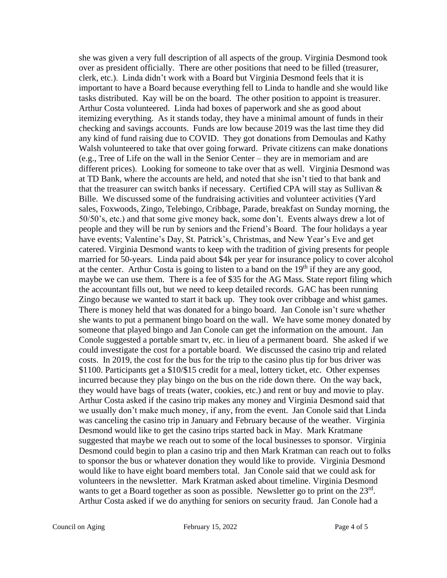she was given a very full description of all aspects of the group. Virginia Desmond took over as president officially. There are other positions that need to be filled (treasurer, clerk, etc.). Linda didn't work with a Board but Virginia Desmond feels that it is important to have a Board because everything fell to Linda to handle and she would like tasks distributed. Kay will be on the board. The other position to appoint is treasurer. Arthur Costa volunteered. Linda had boxes of paperwork and she as good about itemizing everything. As it stands today, they have a minimal amount of funds in their checking and savings accounts. Funds are low because 2019 was the last time they did any kind of fund raising due to COVID. They got donations from Demoulas and Kathy Walsh volunteered to take that over going forward. Private citizens can make donations (e.g., Tree of Life on the wall in the Senior Center – they are in memoriam and are different prices). Looking for someone to take over that as well. Virginia Desmond was at TD Bank, where the accounts are held, and noted that she isn't tied to that bank and that the treasurer can switch banks if necessary. Certified CPA will stay as Sullivan  $\&$ Bille. We discussed some of the fundraising activities and volunteer activities (Yard sales, Foxwoods, Zingo, Telebingo, Cribbage, Parade, breakfast on Sunday morning, the 50/50's, etc.) and that some give money back, some don't. Events always drew a lot of people and they will be run by seniors and the Friend's Board. The four holidays a year have events; Valentine's Day, St. Patrick's, Christmas, and New Year's Eve and get catered. Virginia Desmond wants to keep with the tradition of giving presents for people married for 50-years. Linda paid about \$4k per year for insurance policy to cover alcohol at the center. Arthur Costa is going to listen to a band on the  $19<sup>th</sup>$  if they are any good, maybe we can use them. There is a fee of \$35 for the AG Mass. State report filing which the accountant fills out, but we need to keep detailed records. GAC has been running Zingo because we wanted to start it back up. They took over cribbage and whist games. There is money held that was donated for a bingo board. Jan Conole isn't sure whether she wants to put a permanent bingo board on the wall. We have some money donated by someone that played bingo and Jan Conole can get the information on the amount. Jan Conole suggested a portable smart tv, etc. in lieu of a permanent board. She asked if we could investigate the cost for a portable board. We discussed the casino trip and related costs. In 2019, the cost for the bus for the trip to the casino plus tip for bus driver was \$1100. Participants get a \$10/\$15 credit for a meal, lottery ticket, etc. Other expenses incurred because they play bingo on the bus on the ride down there. On the way back, they would have bags of treats (water, cookies, etc.) and rent or buy and movie to play. Arthur Costa asked if the casino trip makes any money and Virginia Desmond said that we usually don't make much money, if any, from the event. Jan Conole said that Linda was canceling the casino trip in January and February because of the weather. Virginia Desmond would like to get the casino trips started back in May. Mark Kratmane suggested that maybe we reach out to some of the local businesses to sponsor. Virginia Desmond could begin to plan a casino trip and then Mark Kratman can reach out to folks to sponsor the bus or whatever donation they would like to provide. Virginia Desmond would like to have eight board members total. Jan Conole said that we could ask for volunteers in the newsletter. Mark Kratman asked about timeline. Virginia Desmond wants to get a Board together as soon as possible. Newsletter go to print on the 23<sup>rd</sup>. Arthur Costa asked if we do anything for seniors on security fraud. Jan Conole had a